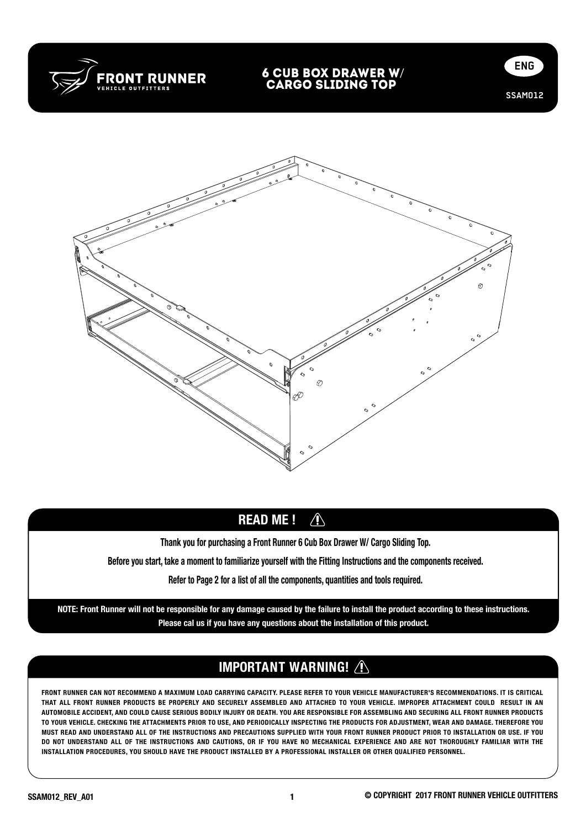

### 6 Cub Box DrawER w/ CARGO SLIDING TOP





# READ ME ! 4

READ ME ! Thank you for purchasing a Front Runner 6 Cub Box Drawer W/ Cargo Sliding Top.

Before you start, take a moment to familiarize yourself with the Fitting Instructions and the components received.

Refer to Page 2 for a list of all the components, quantities and tools required.

NOTE: Front Runner will not be responsible for any damage caused by the failure to install the product according to these instructions. Please cal us if you have any questions about the installation of this product.

# IMPORTANT WARNING!

FRONT RUNNER CAN NOT RECOMMEND A MAXIMUM LOAD CARRYING CAPACITY. PLEASE REFER TO YOUR VEHICLE MANUFACTURER'S RECOMMENDATIONS. IT IS CRITICAL THAT ALL FRONT RUNNER PRODUCTS BE PROPERLY AND SECURELY ASSEMBLED AND ATTACHED TO YOUR VEHICLE. IMPROPER ATTACHMENT COULD RESULT IN AN AUTOMOBILE ACCIDENT, AND COULD CAUSE SERIOUS BODILY INJURY OR DEATH. YOU ARE RESPONSIBLE FOR ASSEMBLING AND SECURING ALL FRONT RUNNER PRODUCTS TO YOUR VEHICLE. CHECKING THE ATTACHMENTS PRIOR TO USE, AND PERIODICALLY INSPECTING THE PRODUCTS FOR ADJUSTMENT, WEAR AND DAMAGE. THEREFORE YOU MUST READ AND UNDERSTAND ALL OF THE INSTRUCTIONS AND PRECAUTIONS SUPPLIED WITH YOUR FRONT RUNNER PRODUCT PRIOR TO INSTALLATION OR USE. IF YOU DO NOT UNDERSTAND ALL OF THE INSTRUCTIONS AND CAUTIONS, OR IF YOU HAVE NO MECHANICAL EXPERIENCE AND ARE NOT THOROUGHLY FAMILIAR WITH THE INSTALLATION PROCEDURES, YOU SHOULD HAVE THE PRODUCT INSTALLED BY A PROFESSIONAL INSTALLER OR OTHER QUALIFIED PERSONNEL.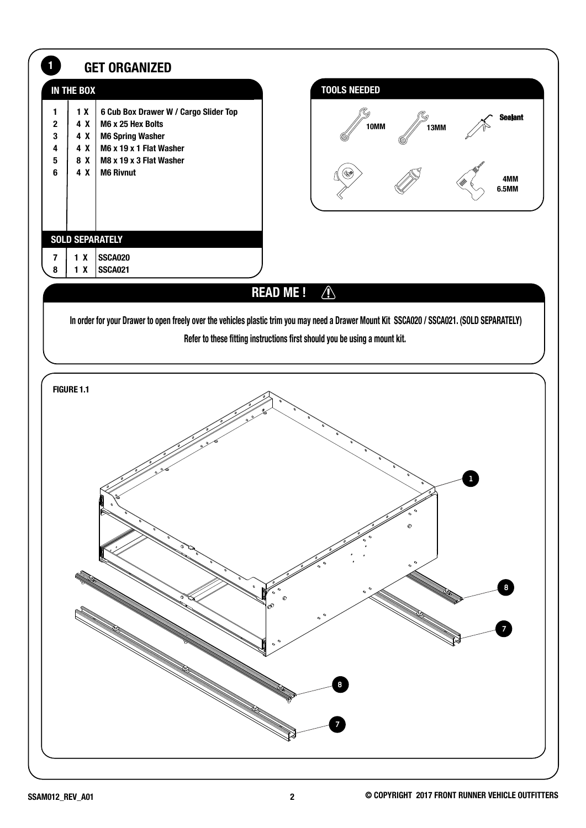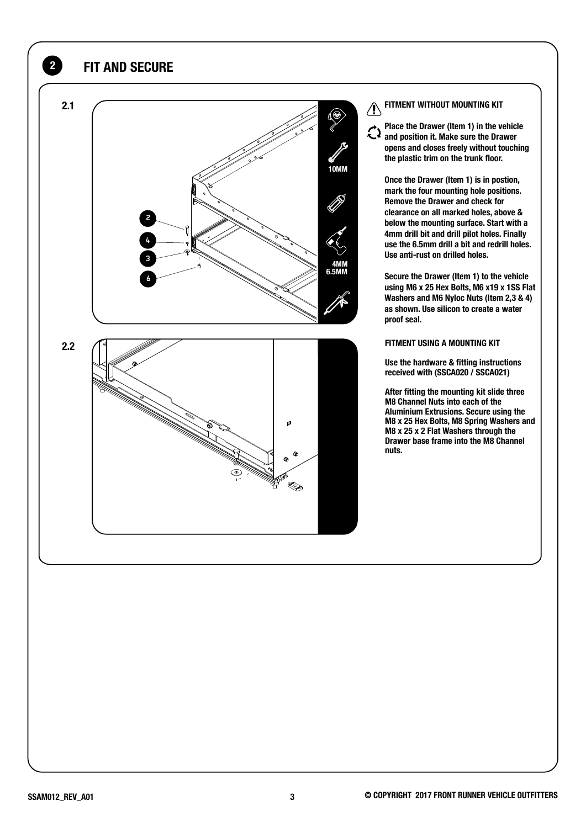### 2 FIT AND SECURE



#### FITMENT WITHOUT MOUNTING KIT

Place the Drawer (Item 1) in the vehicle  $\bigcirc$  Place the Drawer (nomed by the Drawer)<br>and position it. Make sure the Drawer opens and closes freely without touching the plastic trim on the trunk floor.

Once the Drawer (Item 1) is in postion, mark the four mounting hole positions. Remove the Drawer and check for clearance on all marked holes, above & below the mounting surface. Start with a 4mm drill bit and drill pilot holes. Finally use the 6.5mm drill a bit and redrill holes. Use anti-rust on drilled holes.

Secure the Drawer (Item 1) to the vehicle using M6 x 25 Hex Bolts, M6 x19 x 1SS Flat Washers and M6 Nyloc Nuts (Item 2,3 & 4) as shown. Use silicon to create a water proof seal.

#### FITMENT USING A MOUNTING KIT

Use the hardware & fitting instructions received with (SSCA020 / SSCA021)

After fitting the mounting kit slide three M8 Channel Nuts into each of the Aluminium Extrusions. Secure using the M8 x 25 Hex Bolts, M8 Spring Washers and M8 x 25 x 2 Flat Washers through the Drawer base frame into the M8 Channel nuts.